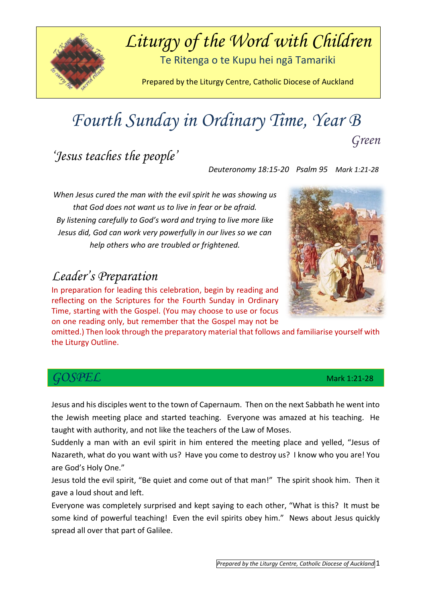

## *Liturgy of the Word with Children*

Te Ritenga o te Kupu hei ngā Tamariki

Prepared by the Liturgy Centre, Catholic Diocese of Auckland

## *Fourth Sunday in Ordinary Time, Year B Green*

*'Jesus teaches the people'* 

 *Deuteronomy 18:15-20 Psalm 95 Mark 1:21-28*

*When Jesus cured the man with the evil spirit he was showing us that God does not want us to live in fear or be afraid. By listening carefully to God's word and trying to live more like Jesus did, God can work very powerfully in our lives so we can help others who are troubled or frightened.*

#### *Leader's Preparation*

In preparation for leading this celebration, begin by reading and reflecting on the Scriptures for the Fourth Sunday in Ordinary Time, starting with the Gospel. (You may choose to use or focus on one reading only, but remember that the Gospel may not be

omitted.) Then look through the preparatory material that follows and familiarise yourself with the Liturgy Outline.

#### *GOSPEL* Mark 1:21-28

Jesus and his disciples went to the town of Capernaum. Then on the next Sabbath he went into the Jewish meeting place and started teaching. Everyone was amazed at his teaching. He taught with authority, and not like the teachers of the Law of Moses.

Suddenly a man with an evil spirit in him entered the meeting place and yelled, "Jesus of Nazareth, what do you want with us? Have you come to destroy us? I know who you are! You are God's Holy One."

Jesus told the evil spirit, "Be quiet and come out of that man!" The spirit shook him. Then it gave a loud shout and left.

Everyone was completely surprised and kept saying to each other, "What is this? It must be some kind of powerful teaching! Even the evil spirits obey him." News about Jesus quickly spread all over that part of Galilee.

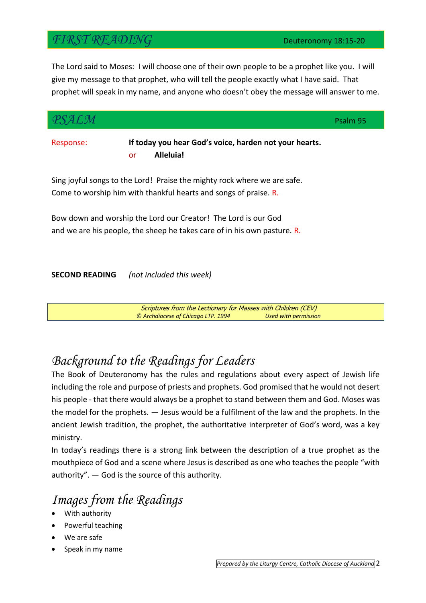#### *FIRST READING* Deuteronomy 18:15-20

The Lord said to Moses: I will choose one of their own people to be a prophet like you. I will give my message to that prophet, who will tell the people exactly what I have said. That prophet will speak in my name, and anyone who doesn't obey the message will answer to me.

| SALM                  |                                                                                                                                              | Psalm 95 |
|-----------------------|----------------------------------------------------------------------------------------------------------------------------------------------|----------|
| Response:             | If today you hear God's voice, harden not your hearts.<br>Alleluia!<br>or                                                                    |          |
|                       | Sing joyful songs to the Lord! Praise the mighty rock where we are safe.<br>Come to worship him with thankful hearts and songs of praise. R. |          |
|                       | Bow down and worship the Lord our Creator! The Lord is our God<br>and we are his people, the sheep he takes care of in his own pasture. R.   |          |
| <b>SECOND READING</b> | (not included this week)                                                                                                                     |          |
|                       | Scriptures from the Lectionary for Masses with Children (CEV)                                                                                |          |

## *Background to the Readings for Leaders*

The Book of Deuteronomy has the rules and regulations about every aspect of Jewish life including the role and purpose of priests and prophets. God promised that he would not desert his people - that there would always be a prophet to stand between them and God. Moses was the model for the prophets. — Jesus would be a fulfilment of the law and the prophets. In the ancient Jewish tradition, the prophet, the authoritative interpreter of God's word, was a key ministry.

*© Archdiocese of Chicago LTP. 1994 Used with permission*

In today's readings there is a strong link between the description of a true prophet as the mouthpiece of God and a scene where Jesus is described as one who teaches the people "with authority". — God is the source of this authority.

#### *Images from the Readings*

- With authority
- Powerful teaching
- We are safe
- Speak in my name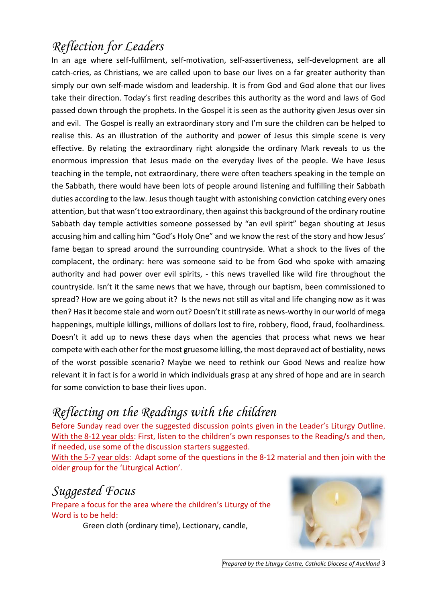### *Reflection for Leaders*

In an age where self-fulfilment, self-motivation, self-assertiveness, self-development are all catch-cries, as Christians, we are called upon to base our lives on a far greater authority than simply our own self-made wisdom and leadership. It is from God and God alone that our lives take their direction. Today's first reading describes this authority as the word and laws of God passed down through the prophets. In the Gospel it is seen as the authority given Jesus over sin and evil. The Gospel is really an extraordinary story and I'm sure the children can be helped to realise this. As an illustration of the authority and power of Jesus this simple scene is very effective. By relating the extraordinary right alongside the ordinary Mark reveals to us the enormous impression that Jesus made on the everyday lives of the people. We have Jesus teaching in the temple, not extraordinary, there were often teachers speaking in the temple on the Sabbath, there would have been lots of people around listening and fulfilling their Sabbath duties according to the law. Jesus though taught with astonishing conviction catching every ones attention, but that wasn't too extraordinary, then against this background of the ordinary routine Sabbath day temple activities someone possessed by "an evil spirit" began shouting at Jesus accusing him and calling him "God's Holy One" and we know the rest of the story and how Jesus' fame began to spread around the surrounding countryside. What a shock to the lives of the complacent, the ordinary: here was someone said to be from God who spoke with amazing authority and had power over evil spirits, - this news travelled like wild fire throughout the countryside. Isn't it the same news that we have, through our baptism, been commissioned to spread? How are we going about it? Is the news not still as vital and life changing now as it was then? Has it become stale and worn out? Doesn't it still rate as news-worthy in our world of mega happenings, multiple killings, millions of dollars lost to fire, robbery, flood, fraud, foolhardiness. Doesn't it add up to news these days when the agencies that process what news we hear compete with each other for the most gruesome killing, the most depraved act of bestiality, news of the worst possible scenario? Maybe we need to rethink our Good News and realize how relevant it in fact is for a world in which individuals grasp at any shred of hope and are in search for some conviction to base their lives upon.

## *Reflecting on the Readings with the children*

Before Sunday read over the suggested discussion points given in the Leader's Liturgy Outline. With the 8-12 year olds: First, listen to the children's own responses to the Reading/s and then, if needed, use some of the discussion starters suggested.

With the 5-7 year olds: Adapt some of the questions in the 8-12 material and then join with the older group for the 'Liturgical Action'*.* 

#### *Suggested Focus*

Prepare a focus for the area where the children's Liturgy of the Word is to be held:

Green cloth (ordinary time), Lectionary, candle,

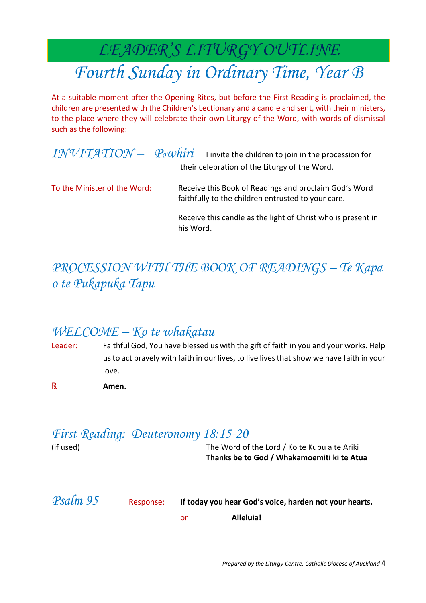## *LEADER'S LITURGY OUTLINE Fourth Sunday in Ordinary Time, Year B*

At a suitable moment after the Opening Rites, but before the First Reading is proclaimed, the children are presented with the Children's Lectionary and a candle and sent, with their ministers, to the place where they will celebrate their own Liturgy of the Word, with words of dismissal such as the following:

|                              | $INVITATION - P0whiri$ I invite the children to join in the procession for<br>their celebration of the Liturgy of the Word. |
|------------------------------|-----------------------------------------------------------------------------------------------------------------------------|
| To the Minister of the Word: | Receive this Book of Readings and proclaim God's Word<br>faithfully to the children entrusted to your care.                 |
|                              | Receive this candle as the light of Christ who is present in<br>his Word.                                                   |

## *PROCESSION WITH THE BOOK OF READINGS – Te Kapa o te Pukapuka Tapu*

#### *WELCOME – Ko te whakatau*

- Leader: Faithful God, You have blessed us with the gift of faith in you and your works. Help us to act bravely with faith in our lives, to live lives that show we have faith in your love.
- ℞ **Amen.**

#### *First Reading: Deuteronomy 18:15-20*

| (if used) |           | The Word of the Lord / Ko te Kupu a te Ariki<br>Thanks be to God / Whakamoemiti ki te Atua |
|-----------|-----------|--------------------------------------------------------------------------------------------|
| Psalm 95  | Response: | If today you hear God's voice, harden not your hearts.<br>Alleluia!<br>or                  |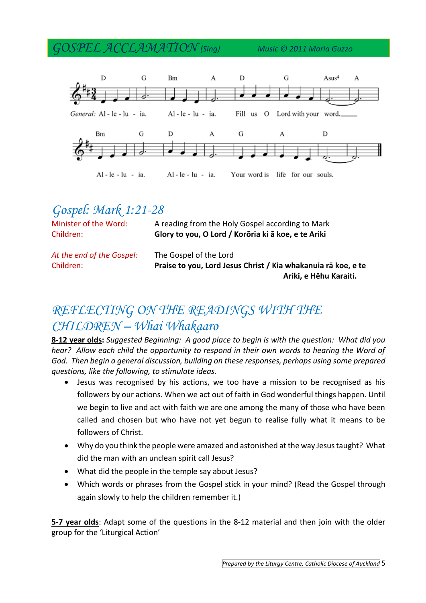#### *GOSPEL ACCLAMATION (Sing) Music © 2011 Maria Guzzo*



### *Gospel: Mark 1:21-28*

| Minister of the Word:<br>Children: | A reading from the Holy Gospel according to Mark<br>Glory to you, O Lord / Korōria ki ā koe, e te Ariki |  |  |
|------------------------------------|---------------------------------------------------------------------------------------------------------|--|--|
| At the end of the Gospel:          | The Gospel of the Lord                                                                                  |  |  |
| Children:                          | Praise to you, Lord Jesus Christ / Kia whakanuia rā koe, e te                                           |  |  |
|                                    | Ariki, e Hēhu Karaiti.                                                                                  |  |  |

### *REFLECTING ON THE READINGS WITH THE CHILDREN – Whai Whakaaro*

**8-12 year olds:** *Suggested Beginning: A good place to begin is with the question: What did you hear? Allow each child the opportunity to respond in their own words to hearing the Word of God. Then begin a general discussion, building on these responses, perhaps using some prepared questions, like the following, to stimulate ideas.* 

- Jesus was recognised by his actions, we too have a mission to be recognised as his followers by our actions. When we act out of faith in God wonderful things happen. Until we begin to live and act with faith we are one among the many of those who have been called and chosen but who have not yet begun to realise fully what it means to be followers of Christ.
- Why do you think the people were amazed and astonished at the way Jesus taught? What did the man with an unclean spirit call Jesus?
- What did the people in the temple say about Jesus?
- Which words or phrases from the Gospel stick in your mind? (Read the Gospel through again slowly to help the children remember it.)

**5-7 year olds**: Adapt some of the questions in the 8-12 material and then join with the older group for the 'Liturgical Action'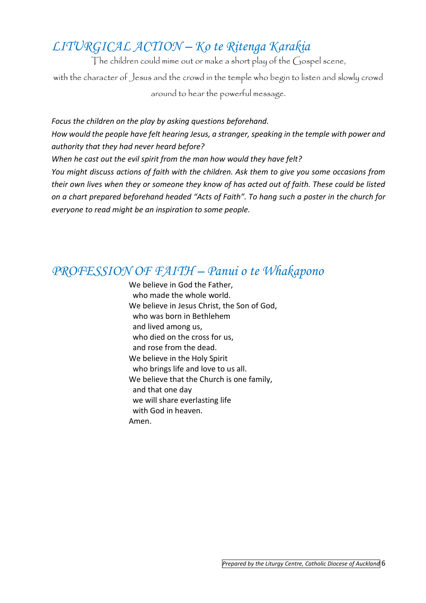## *LITURGICAL ACTION – Ko te Ritenga Karakia*

The children could mime out or make a short play of the Gospel scene,

with the character of Jesus and the crowd in the temple who begin to listen and slowly crowd around to hear the powerful message.

*Focus the children on the play by asking questions beforehand. How would the people have felt hearing Jesus, a stranger, speaking in the temple with power and authority that they had never heard before? When he cast out the evil spirit from the man how would they have felt? You might discuss actions of faith with the children. Ask them to give you some occasions from their own lives when they or someone they know of has acted out of faith. These could be listed on a chart prepared beforehand headed "Acts of Faith". To hang such a poster in the church for everyone to read might be an inspiration to some people.*

#### *PROFESSION OF FAITH – Panui o te Whakapono*

We believe in God the Father, who made the whole world. We believe in Jesus Christ, the Son of God, who was born in Bethlehem and lived among us, who died on the cross for us, and rose from the dead. We believe in the Holy Spirit who brings life and love to us all. We believe that the Church is one family, and that one day we will share everlasting life with God in heaven. Amen.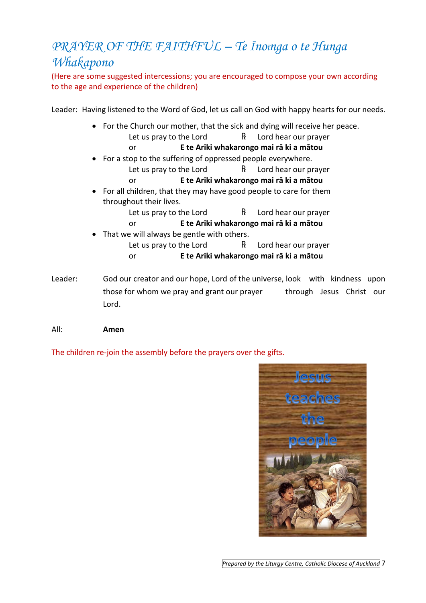## *PRAYER OF THE FAITHFUL – Te Īnoīnga o te Hunga Whakapono*

(Here are some suggested intercessions; you are encouraged to compose your own according to the age and experience of the children)

Leader: Having listened to the Word of God, let us call on God with happy hearts for our needs.

- For the Church our mother, that the sick and dying will receive her peace. Let us pray to the Lord  $R$  Lord hear our prayer
	- or **E te Ariki whakarongo mai rā ki a mātou**
- For a stop to the suffering of oppressed people everywhere. Let us pray to the Lord  $R$  Lord hear our prayer
	- or **E te Ariki whakarongo mai rā ki a mātou**
- For all children, that they may have good people to care for them throughout their lives.
	- Let us pray to the Lord  $R$  Lord hear our prayer
	- or **E te Ariki whakarongo mai rā ki a mātou**
- That we will always be gentle with others.
	- Let us pray to the Lord  $R$  Lord hear our prayer or **E te Ariki whakarongo mai rā ki a mātou**
- Leader: God our creator and our hope, Lord of the universe, look with kindness upon those for whom we pray and grant our prayer through Jesus Christ our Lord.
- All: **Amen**

The children re-join the assembly before the prayers over the gifts.